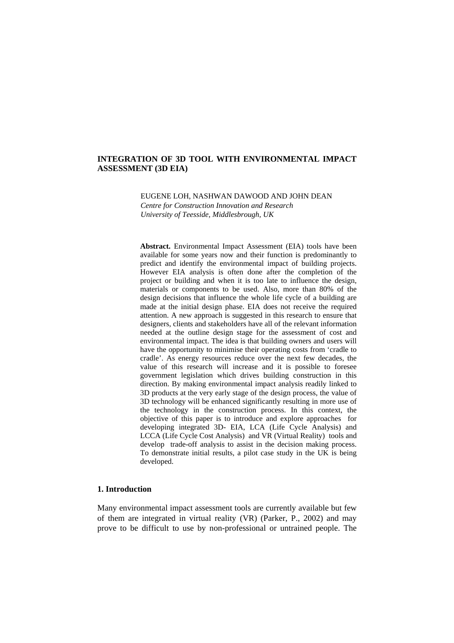## **INTEGRATION OF 3D TOOL WITH ENVIRONMENTAL IMPACT ASSESSMENT (3D EIA)**

EUGENE LOH, NASHWAN DAWOOD AND JOHN DEAN

*Centre for Construction Innovation and Research University of Teesside, Middlesbrough, UK*

**Abstract.** Environmental Impact Assessment (EIA) tools have been available for some years now and their function is predominantly to predict and identify the environmental impact of building projects. However EIA analysis is often done after the completion of the project or building and when it is too late to influence the design, materials or components to be used. Also, more than 80% of the design decisions that influence the whole life cycle of a building are made at the initial design phase. EIA does not receive the required attention. A new approach is suggested in this research to ensure that designers, clients and stakeholders have all of the relevant information needed at the outline design stage for the assessment of cost and environmental impact. The idea is that building owners and users will have the opportunity to minimise their operating costs from 'cradle to cradle'. As energy resources reduce over the next few decades, the value of this research will increase and it is possible to foresee government legislation which drives building construction in this direction. By making environmental impact analysis readily linked to 3D products at the very early stage of the design process, the value of 3D technology will be enhanced significantly resulting in more use of the technology in the construction process. In this context, the objective of this paper is to introduce and explore approaches for developing integrated 3D- EIA, LCA (Life Cycle Analysis) and LCCA (Life Cycle Cost Analysis) and VR (Virtual Reality) tools and develop trade-off analysis to assist in the decision making process. To demonstrate initial results, a pilot case study in the UK is being developed.

# **1. Introduction**

Many environmental impact assessment tools are currently available but few of them are integrated in virtual reality (VR) (Parker, P., 2002) and may prove to be difficult to use by non-professional or untrained people. The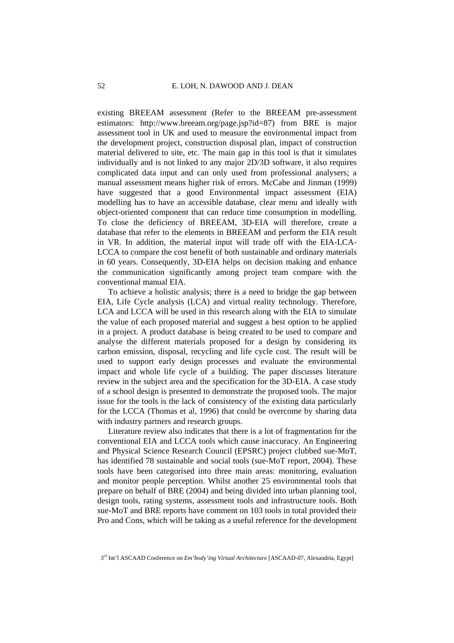existing BREEAM assessment (Refer to the BREEAM pre-assessment estimators: http://www.breeam.org/page.jsp?id=87) from BRE is major assessment tool in UK and used to measure the environmental impact from the development project, construction disposal plan, impact of construction material delivered to site, etc. The main gap in this tool is that it simulates individually and is not linked to any major 2D/3D software, it also requires complicated data input and can only used from professional analysers; a manual assessment means higher risk of errors. McCabe and Jinman (1999) have suggested that a good Environmental impact assessment (EIA) modelling has to have an accessible database, clear menu and ideally with object-oriented component that can reduce time consumption in modelling. To close the deficiency of BREEAM, 3D-EIA will therefore, create a database that refer to the elements in BREEAM and perform the EIA result in VR. In addition, the material input will trade off with the EIA-LCA-LCCA to compare the cost benefit of both sustainable and ordinary materials in 60 years. Consequently, 3D-EIA helps on decision making and enhance the communication significantly among project team compare with the conventional manual EIA.

To achieve a holistic analysis; there is a need to bridge the gap between EIA, Life Cycle analysis (LCA) and virtual reality technology. Therefore, LCA and LCCA will be used in this research along with the EIA to simulate the value of each proposed material and suggest a best option to be applied in a project. A product database is being created to be used to compare and analyse the different materials proposed for a design by considering its carbon emission, disposal, recycling and life cycle cost. The result will be used to support early design processes and evaluate the environmental impact and whole life cycle of a building. The paper discusses literature review in the subject area and the specification for the 3D-EIA. A case study of a school design is presented to demonstrate the proposed tools. The major issue for the tools is the lack of consistency of the existing data particularly for the LCCA (Thomas et al, 1996) that could be overcome by sharing data with industry partners and research groups.

Literature review also indicates that there is a lot of fragmentation for the conventional EIA and LCCA tools which cause inaccuracy. An Engineering and Physical Science Research Council (EPSRC) project clubbed sue-MoT, has identified 78 sustainable and social tools (sue-MoT report, 2004). These tools have been categorised into three main areas: monitoring, evaluation and monitor people perception. Whilst another 25 environmental tools that prepare on behalf of BRE (2004) and being divided into urban planning tool, design tools, rating systems, assessment tools and infrastructure tools. Both sue-MoT and BRE reports have comment on 103 tools in total provided their Pro and Cons, which will be taking as a useful reference for the development

<sup>3</sup>rd Int'l ASCAAD Conference on *Em'body'ing Virtual Architecture* [ASCAAD-07, Alexandria, Egypt]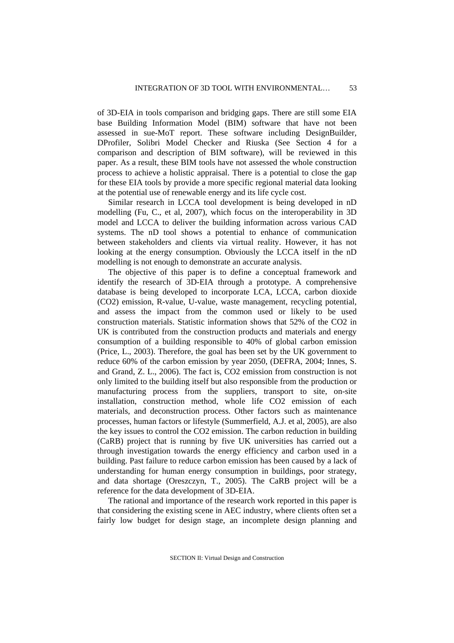of 3D-EIA in tools comparison and bridging gaps. There are still some EIA base Building Information Model (BIM) software that have not been assessed in sue-MoT report. These software including DesignBuilder, DProfiler, Solibri Model Checker and Riuska (See Section 4 for a comparison and description of BIM software), will be reviewed in this paper. As a result, these BIM tools have not assessed the whole construction process to achieve a holistic appraisal. There is a potential to close the gap for these EIA tools by provide a more specific regional material data looking at the potential use of renewable energy and its life cycle cost.

Similar research in LCCA tool development is being developed in nD modelling (Fu, C., et al, 2007), which focus on the interoperability in 3D model and LCCA to deliver the building information across various CAD systems. The nD tool shows a potential to enhance of communication between stakeholders and clients via virtual reality. However, it has not looking at the energy consumption. Obviously the LCCA itself in the nD modelling is not enough to demonstrate an accurate analysis.

The objective of this paper is to define a conceptual framework and identify the research of 3D-EIA through a prototype. A comprehensive database is being developed to incorporate LCA, LCCA, carbon dioxide (CO2) emission, R-value, U-value, waste management, recycling potential, and assess the impact from the common used or likely to be used construction materials. Statistic information shows that 52% of the CO2 in UK is contributed from the construction products and materials and energy consumption of a building responsible to 40% of global carbon emission (Price, L., 2003). Therefore, the goal has been set by the UK government to reduce 60% of the carbon emission by year 2050, (DEFRA, 2004; Innes, S. and Grand, Z. L., 2006). The fact is, CO2 emission from construction is not only limited to the building itself but also responsible from the production or manufacturing process from the suppliers, transport to site, on-site installation, construction method, whole life CO2 emission of each materials, and deconstruction process. Other factors such as maintenance processes, human factors or lifestyle (Summerfield, A.J. et al, 2005), are also the key issues to control the CO2 emission. The carbon reduction in building (CaRB) project that is running by five UK universities has carried out a through investigation towards the energy efficiency and carbon used in a building. Past failure to reduce carbon emission has been caused by a lack of understanding for human energy consumption in buildings, poor strategy, and data shortage (Oreszczyn, T., 2005). The CaRB project will be a reference for the data development of 3D-EIA.

The rational and importance of the research work reported in this paper is that considering the existing scene in AEC industry, where clients often set a fairly low budget for design stage, an incomplete design planning and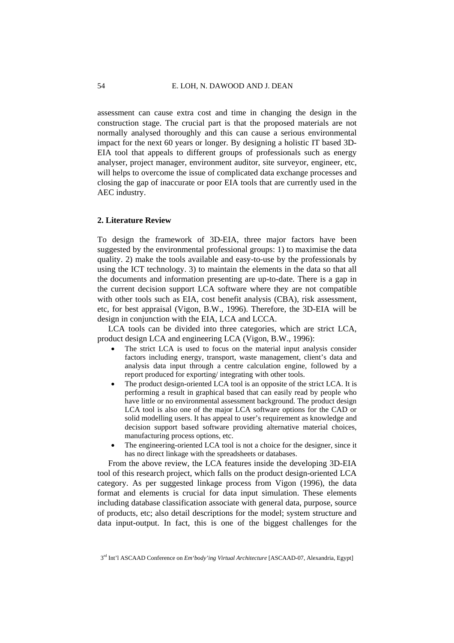assessment can cause extra cost and time in changing the design in the construction stage. The crucial part is that the proposed materials are not normally analysed thoroughly and this can cause a serious environmental impact for the next 60 years or longer. By designing a holistic IT based 3D-EIA tool that appeals to different groups of professionals such as energy analyser, project manager, environment auditor, site surveyor, engineer, etc, will helps to overcome the issue of complicated data exchange processes and closing the gap of inaccurate or poor EIA tools that are currently used in the AEC industry.

### **2. Literature Review**

To design the framework of 3D-EIA, three major factors have been suggested by the environmental professional groups: 1) to maximise the data quality. 2) make the tools available and easy-to-use by the professionals by using the ICT technology. 3) to maintain the elements in the data so that all the documents and information presenting are up-to-date. There is a gap in the current decision support LCA software where they are not compatible with other tools such as EIA, cost benefit analysis (CBA), risk assessment, etc, for best appraisal (Vigon, B.W., 1996). Therefore, the 3D-EIA will be design in conjunction with the EIA, LCA and LCCA.

LCA tools can be divided into three categories, which are strict LCA, product design LCA and engineering LCA (Vigon, B.W., 1996):

- The strict LCA is used to focus on the material input analysis consider factors including energy, transport, waste management, client's data and analysis data input through a centre calculation engine, followed by a report produced for exporting/ integrating with other tools.
- The product design-oriented LCA tool is an opposite of the strict LCA. It is performing a result in graphical based that can easily read by people who have little or no environmental assessment background. The product design LCA tool is also one of the major LCA software options for the CAD or solid modelling users. It has appeal to user's requirement as knowledge and decision support based software providing alternative material choices, manufacturing process options, etc.
- The engineering-oriented LCA tool is not a choice for the designer, since it has no direct linkage with the spreadsheets or databases.

From the above review, the LCA features inside the developing 3D-EIA tool of this research project, which falls on the product design-oriented LCA category. As per suggested linkage process from Vigon (1996), the data format and elements is crucial for data input simulation. These elements including database classification associate with general data, purpose, source of products, etc; also detail descriptions for the model; system structure and data input-output. In fact, this is one of the biggest challenges for the

<sup>3</sup>rd Int'l ASCAAD Conference on *Em'body'ing Virtual Architecture* [ASCAAD-07, Alexandria, Egypt]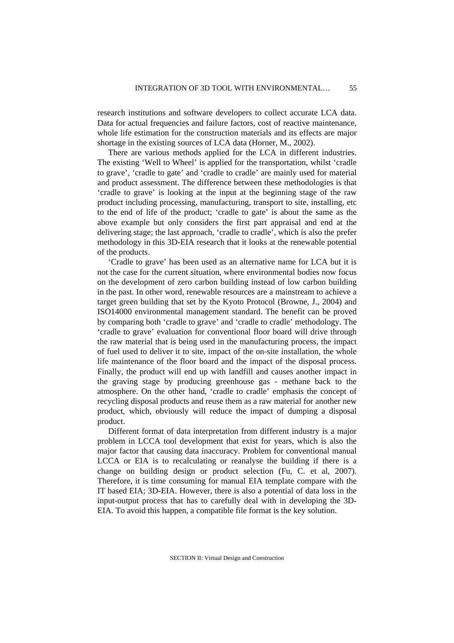research institutions and software developers to collect accurate LCA data. Data for actual frequencies and failure factors, cost of reactive maintenance, whole life estimation for the construction materials and its effects are major shortage in the existing sources of LCA data (Horner, M., 2002).

There are various methods applied for the LCA in different industries. The existing 'Well to Wheel' is applied for the transportation, whilst 'cradle to grave', 'cradle to gate' and 'cradle to cradle' are mainly used for material and product assessment. The difference between these methodologies is that 'cradle to grave' is looking at the input at the beginning stage of the raw product including processing, manufacturing, transport to site, installing, etc to the end of life of the product; 'cradle to gate' is about the same as the above example but only considers the first part appraisal and end at the delivering stage; the last approach, 'cradle to cradle', which is also the prefer methodology in this 3D-EIA research that it looks at the renewable potential of the products.

'Cradle to grave' has been used as an alternative name for LCA but it is not the case for the current situation, where environmental bodies now focus on the development of zero carbon building instead of low carbon building in the past. In other word, renewable resources are a mainstream to achieve a target green building that set by the Kyoto Protocol (Browne, J., 2004) and ISO14000 environmental management standard. The benefit can be proved by comparing both 'cradle to grave' and 'cradle to cradle' methodology. The 'cradle to grave' evaluation for conventional floor board will drive through the raw material that is being used in the manufacturing process, the impact of fuel used to deliver it to site, impact of the on-site installation, the whole life maintenance of the floor board and the impact of the disposal process. Finally, the product will end up with landfill and causes another impact in the graving stage by producing greenhouse gas - methane back to the atmosphere. On the other hand, 'cradle to cradle' emphasis the concept of recycling disposal products and reuse them as a raw material for another new product, which, obviously will reduce the impact of dumping a disposal product.

Different format of data interpretation from different industry is a major problem in LCCA tool development that exist for years, which is also the major factor that causing data inaccuracy. Problem for conventional manual LCCA or EIA is to recalculating or reanalyse the building if there is a change on building design or product selection (Fu, C. et al, 2007). Therefore, it is time consuming for manual EIA template compare with the IT based EIA; 3D-EIA. However, there is also a potential of data loss in the input-output process that has to carefully deal with in developing the 3D-EIA. To avoid this happen, a compatible file format is the key solution.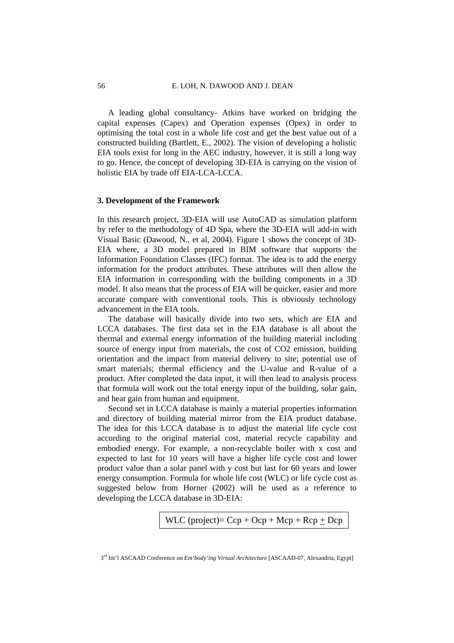A leading global consultancy- Atkins have worked on bridging the capital expenses (Capex) and Operation expenses (Opex) in order to optimising the total cost in a whole life cost and get the best value out of a constructed building (Bartlett, E., 2002). The vision of developing a holistic EIA tools exist for long in the AEC industry, however, it is still a long way to go. Hence, the concept of developing 3D-EIA is carrying on the vision of holistic EIA by trade off EIA-LCA-LCCA.

### **3. Development of the Framework**

In this research project, 3D-EIA will use AutoCAD as simulation platform by refer to the methodology of 4D Spa, where the 3D-EIA will add-in with Visual Basic (Dawood, N., et al, 2004). Figure 1 shows the concept of 3D-EIA where, a 3D model prepared in BIM software that supports the Information Foundation Classes (IFC) format. The idea is to add the energy information for the product attributes. These attributes will then allow the EIA information in corresponding with the building components in a 3D model. It also means that the process of EIA will be quicker, easier and more accurate compare with conventional tools. This is obviously technology advancement in the EIA tools.

The database will basically divide into two sets, which are EIA and LCCA databases. The first data set in the EIA database is all about the thermal and external energy information of the building material including source of energy input from materials, the cost of CO2 emission, building orientation and the impact from material delivery to site; potential use of smart materials; thermal efficiency and the U-value and R-value of a product. After completed the data input, it will then lead to analysis process that formula will work out the total energy input of the building, solar gain, and heat gain from human and equipment.

Second set in LCCA database is mainly a material properties information and directory of building material mirror from the EIA product database. The idea for this LCCA database is to adjust the material life cycle cost according to the original material cost, material recycle capability and embodied energy. For example, a non-recyclable boiler with x cost and expected to last for 10 years will have a higher life cycle cost and lower product value than a solar panel with y cost but last for 60 years and lower energy consumption. Formula for whole life cost (WLC) or life cycle cost as suggested below from Horner (2002) will be used as a reference to developing the LCCA database in 3D-EIA:

WLC (project)= 
$$
Ccp + Ocp + Mcp + Rcp + Dcp
$$

<sup>3</sup>rd Int'l ASCAAD Conference on *Em'body'ing Virtual Architecture* [ASCAAD-07, Alexandria, Egypt]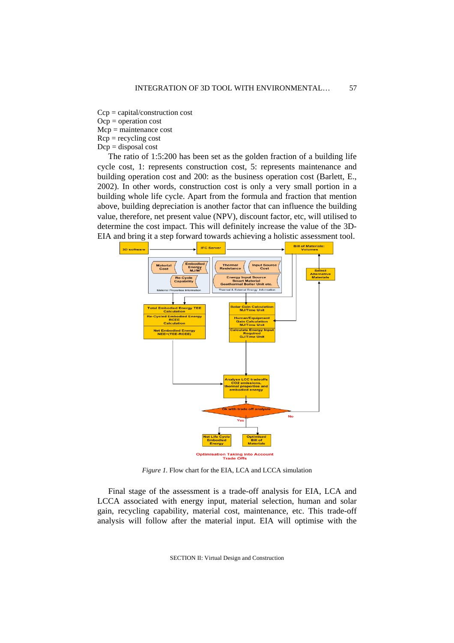- Ccp = capital/construction cost
- Ocp = operation cost
- Mcp = maintenance cost
- $Rcp =$  recycling cost
- $Dcp =$  disposal cost

The ratio of 1:5:200 has been set as the golden fraction of a building life cycle cost, 1: represents construction cost, 5: represents maintenance and building operation cost and 200: as the business operation cost (Barlett, E., 2002). In other words, construction cost is only a very small portion in a building whole life cycle. Apart from the formula and fraction that mention above, building depreciation is another factor that can influence the building value, therefore, net present value (NPV), discount factor, etc, will utilised to determine the cost impact. This will definitely increase the value of the 3D-EIA and bring it a step forward towards achieving a holistic assessment tool.



*Figure 1.* Flow chart for the EIA, LCA and LCCA simulation

Final stage of the assessment is a trade-off analysis for EIA, LCA and LCCA associated with energy input, material selection, human and solar gain, recycling capability, material cost, maintenance, etc. This trade-off analysis will follow after the material input. EIA will optimise with the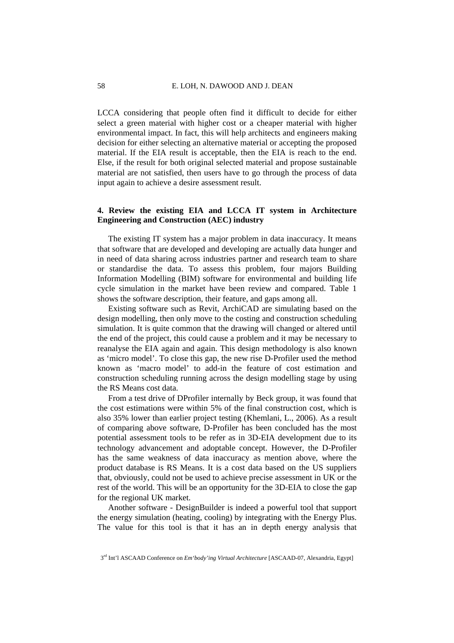LCCA considering that people often find it difficult to decide for either select a green material with higher cost or a cheaper material with higher environmental impact. In fact, this will help architects and engineers making decision for either selecting an alternative material or accepting the proposed material. If the EIA result is acceptable, then the EIA is reach to the end. Else, if the result for both original selected material and propose sustainable material are not satisfied, then users have to go through the process of data input again to achieve a desire assessment result.

# **4. Review the existing EIA and LCCA IT system in Architecture Engineering and Construction (AEC) industry**

The existing IT system has a major problem in data inaccuracy. It means that software that are developed and developing are actually data hunger and in need of data sharing across industries partner and research team to share or standardise the data. To assess this problem, four majors Building Information Modelling (BIM) software for environmental and building life cycle simulation in the market have been review and compared. Table 1 shows the software description, their feature, and gaps among all.

Existing software such as Revit, ArchiCAD are simulating based on the design modelling, then only move to the costing and construction scheduling simulation. It is quite common that the drawing will changed or altered until the end of the project, this could cause a problem and it may be necessary to reanalyse the EIA again and again. This design methodology is also known as 'micro model'. To close this gap, the new rise D-Profiler used the method known as 'macro model' to add-in the feature of cost estimation and construction scheduling running across the design modelling stage by using the RS Means cost data.

From a test drive of DProfiler internally by Beck group, it was found that the cost estimations were within 5% of the final construction cost, which is also 35% lower than earlier project testing (Khemlani, L., 2006). As a result of comparing above software, D-Profiler has been concluded has the most potential assessment tools to be refer as in 3D-EIA development due to its technology advancement and adoptable concept. However, the D-Profiler has the same weakness of data inaccuracy as mention above, where the product database is RS Means. It is a cost data based on the US suppliers that, obviously, could not be used to achieve precise assessment in UK or the rest of the world. This will be an opportunity for the 3D-EIA to close the gap for the regional UK market.

Another software - DesignBuilder is indeed a powerful tool that support the energy simulation (heating, cooling) by integrating with the Energy Plus. The value for this tool is that it has an in depth energy analysis that

<sup>3</sup>rd Int'l ASCAAD Conference on *Em'body'ing Virtual Architecture* [ASCAAD-07, Alexandria, Egypt]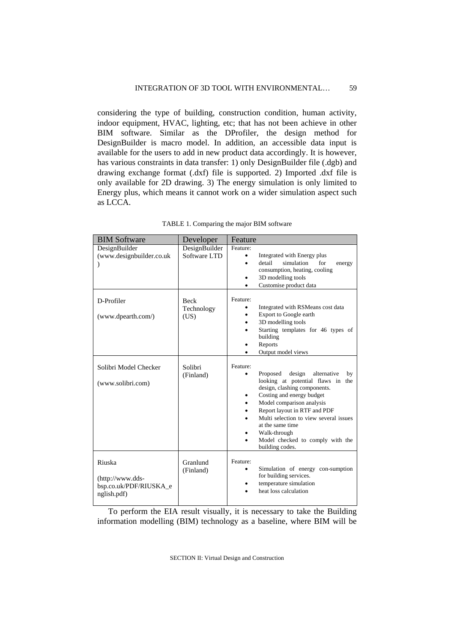considering the type of building, construction condition, human activity, indoor equipment, HVAC, lighting, etc; that has not been achieve in other BIM software. Similar as the DProfiler, the design method for DesignBuilder is macro model. In addition, an accessible data input is available for the users to add in new product data accordingly. It is however, has various constraints in data transfer: 1) only DesignBuilder file (.dgb) and drawing exchange format (.dxf) file is supported. 2) Imported .dxf file is only available for 2D drawing. 3) The energy simulation is only limited to Energy plus, which means it cannot work on a wider simulation aspect such as LCCA.

| <b>BIM Software</b>                                                  | Developer                         | Feature                                                                                                                                                                                                                                                                                                                                                                   |
|----------------------------------------------------------------------|-----------------------------------|---------------------------------------------------------------------------------------------------------------------------------------------------------------------------------------------------------------------------------------------------------------------------------------------------------------------------------------------------------------------------|
| DesignBuilder<br>(www.designbuilder.co.uk<br>℩                       | DesignBuilder<br>Software LTD     | Feature:<br>Integrated with Energy plus<br>٠<br>simulation<br>detail<br>for<br>$\bullet$<br>energy<br>consumption, heating, cooling<br>3D modelling tools<br>٠<br>Customise product data                                                                                                                                                                                  |
| D-Profiler<br>(www.dpearth.com/)                                     | <b>Beck</b><br>Technology<br>(US) | Feature:<br>Integrated with RSMeans cost data<br>Export to Google earth<br>٠<br>3D modelling tools<br>$\bullet$<br>Starting templates for 46 types of<br>$\bullet$<br>building<br>Reports<br>٠<br>Output model views                                                                                                                                                      |
| Solibri Model Checker<br>(www.solibri.com)                           | Solibri<br>(Finland)              | Feature:<br>Proposed<br>design<br>alternative<br>by<br>looking at potential flaws in the<br>design, clashing components.<br>Costing and energy budget<br>٠<br>Model comparison analysis<br>$\bullet$<br>Report layout in RTF and PDF<br>Multi selection to view several issues<br>at the same time<br>Walk-through<br>Model checked to comply with the<br>building codes. |
| Riuska<br>$(htp://www.dds-$<br>bsp.co.uk/PDF/RIUSKA_e<br>nglish.pdf) | Granlund<br>(Finland)             | Feature:<br>Simulation of energy con-sumption<br>for building services.<br>temperature simulation<br>٠<br>heat loss calculation                                                                                                                                                                                                                                           |

TABLE 1. Comparing the major BIM software

To perform the EIA result visually, it is necessary to take the Building information modelling (BIM) technology as a baseline, where BIM will be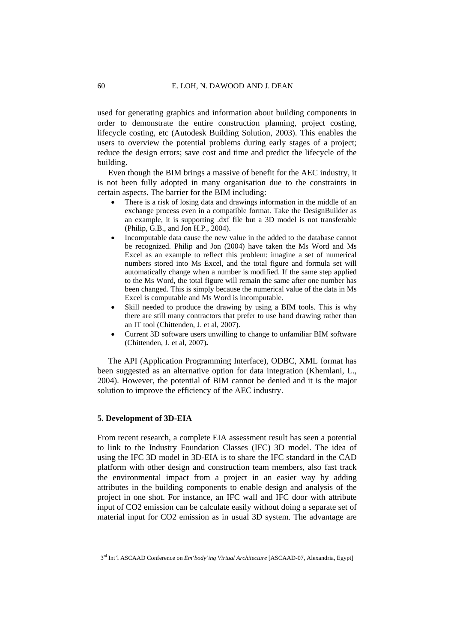used for generating graphics and information about building components in order to demonstrate the entire construction planning, project costing, lifecycle costing, etc (Autodesk Building Solution, 2003). This enables the users to overview the potential problems during early stages of a project; reduce the design errors; save cost and time and predict the lifecycle of the building.

Even though the BIM brings a massive of benefit for the AEC industry, it is not been fully adopted in many organisation due to the constraints in certain aspects. The barrier for the BIM including:

- There is a risk of losing data and drawings information in the middle of an exchange process even in a compatible format. Take the DesignBuilder as an example, it is supporting .dxf file but a 3D model is not transferable (Philip, G.B., and Jon H.P., 2004).
- Incomputable data cause the new value in the added to the database cannot be recognized. Philip and Jon (2004) have taken the Ms Word and Ms Excel as an example to reflect this problem: imagine a set of numerical numbers stored into Ms Excel, and the total figure and formula set will automatically change when a number is modified. If the same step applied to the Ms Word, the total figure will remain the same after one number has been changed. This is simply because the numerical value of the data in Ms Excel is computable and Ms Word is incomputable.
- Skill needed to produce the drawing by using a BIM tools. This is why there are still many contractors that prefer to use hand drawing rather than an IT tool (Chittenden, J. et al, 2007).
- Current 3D software users unwilling to change to unfamiliar BIM software (Chittenden, J. et al, 2007)**.**

The API (Application Programming Interface), ODBC, XML format has been suggested as an alternative option for data integration (Khemlani, L., 2004). However, the potential of BIM cannot be denied and it is the major solution to improve the efficiency of the AEC industry.

### **5. Development of 3D-EIA**

From recent research, a complete EIA assessment result has seen a potential to link to the Industry Foundation Classes (IFC) 3D model. The idea of using the IFC 3D model in 3D-EIA is to share the IFC standard in the CAD platform with other design and construction team members, also fast track the environmental impact from a project in an easier way by adding attributes in the building components to enable design and analysis of the project in one shot. For instance, an IFC wall and IFC door with attribute input of CO2 emission can be calculate easily without doing a separate set of material input for CO2 emission as in usual 3D system. The advantage are

<sup>3</sup>rd Int'l ASCAAD Conference on *Em'body'ing Virtual Architecture* [ASCAAD-07, Alexandria, Egypt]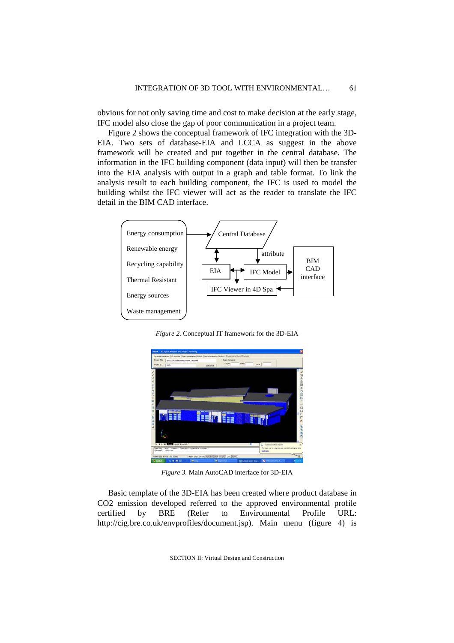obvious for not only saving time and cost to make decision at the early stage, IFC model also close the gap of poor communication in a project team.

Figure 2 shows the conceptual framework of IFC integration with the 3D-EIA. Two sets of database-EIA and LCCA as suggest in the above framework will be created and put together in the central database. The information in the IFC building component (data input) will then be transfer into the EIA analysis with output in a graph and table format. To link the analysis result to each building component, the IFC is used to model the building whilst the IFC viewer will act as the reader to translate the IFC detail in the BIM CAD interface.



*Figure 2.* Conceptual IT framework for the 3D-EIA



*Figure 3.* Main AutoCAD interface for 3D-EIA

Basic template of the 3D-EIA has been created where product database in CO2 emission developed referred to the approved environmental profile certified by BRE (Refer to Environmental Profile URL: http://cig.bre.co.uk/envprofiles/document.jsp). Main menu (figure 4) is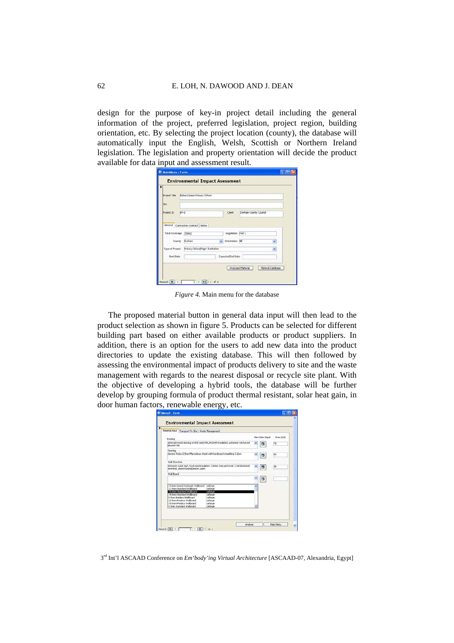design for the purpose of key-in project detail including the general information of the project, preferred legislation, project region, building orientation, etc. By selecting the project location (county), the database will automatically input the English, Welsh, Scottish or Northern Ireland legislation. The legislation and property orientation will decide the product available for data input and assessment result.

|                                | <b>Environmental Impact Asessment</b> |  |                                      |                       |  |  |
|--------------------------------|---------------------------------------|--|--------------------------------------|-----------------------|--|--|
| <b>Project Title</b>           | Bykers Green Primary School           |  |                                      |                       |  |  |
| Site                           |                                       |  |                                      |                       |  |  |
| Project ID                     | BY-D                                  |  | <b>Clerk</b>                         | Durham County Council |  |  |
| Total Coverage 350m2<br>County | Durham                                |  | Legislation Part L<br>Orientation NE |                       |  |  |
| Type of Project                | Primary School/Higer Institution      |  | Expected End Date                    |                       |  |  |
| Start Date                     |                                       |  |                                      |                       |  |  |

*Figure 4.* Main menu for the database

The proposed material button in general data input will then lead to the product selection as shown in figure 5. Products can be selected for different building part based on either available products or product suppliers. In addition, there is an option for the users to add new data into the product directories to update the existing database. This will then followed by assessing the environmental impact of products delivery to site and the waste management with regards to the nearest disposal or recycle site plant. With the objective of developing a hybrid tools, the database will be further develop by grouping formula of product thermal resistant, solar heat gain, in door human factors, renewable energy, etc.

| Material Input Transport To Site   Waste Management                                                                        |                         |                |                 |
|----------------------------------------------------------------------------------------------------------------------------|-------------------------|----------------|-----------------|
| Roofing                                                                                                                    |                         | New Data Input | Area (m2)       |
| 16mm plywood decking on BCI-tost(450,241)with insulation, polyester reinforced<br>biturren felt.                           |                         | 田              | $\overline{20}$ |
| Flooring                                                                                                                   |                         |                |                 |
| Generic Forbo 2.5mm Mannoleum sheet with hardboard sheathing 3.2mm                                                         |                         | 围              | 50              |
| <b>Wall Structure</b>                                                                                                      |                         |                |                 |
| Brickwork outer leaf, Rock wool insulation, 100mm Star performer 3.5N blockwork.<br>innerleaf, plasterboardiplaster, paint | $\overline{\mathbf{v}}$ | 图              | DO.             |
| Wall Board                                                                                                                 |                         |                |                 |
|                                                                                                                            |                         | GI             |                 |
| 15.0mm Sound Resistant Wallboard<br>Lafaron<br>12.5mm Standard Wallboard<br>Lafarge                                        |                         |                |                 |
| 15.0mm Standard Walkoard<br>Lafarge                                                                                        |                         |                |                 |
| 19.0mm Standard Wallhoard<br>Lidaron<br>9. Szan Predeco Walboard<br>Lafaron                                                |                         |                |                 |
| 12.5mm Predeco Walboard<br>Lafaron                                                                                         |                         |                |                 |
| 15.0mg Predeco Walboard<br>LaEaron                                                                                         |                         |                |                 |
| 9 Says Standard Wallscard<br>LaEaron                                                                                       |                         |                |                 |

3rd Int'l ASCAAD Conference on *Em'body'ing Virtual Architecture* [ASCAAD-07, Alexandria, Egypt]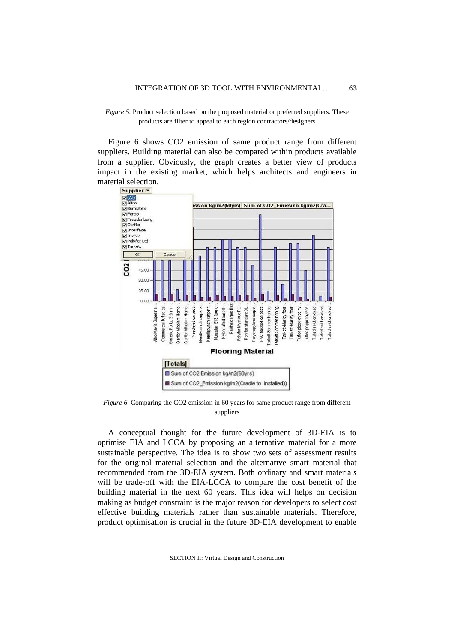#### *Figure 5.* Product selection based on the proposed material or preferred suppliers. These products are filter to appeal to each region contractors/designers

Figure 6 shows CO2 emission of same product range from different suppliers. Building material can also be compared within products available from a supplier. Obviously, the graph creates a better view of products impact in the existing market, which helps architects and engineers in material selection.



*Figure 6.* Comparing the CO2 emission in 60 years for same product range from different suppliers

A conceptual thought for the future development of 3D-EIA is to optimise EIA and LCCA by proposing an alternative material for a more sustainable perspective. The idea is to show two sets of assessment results for the original material selection and the alternative smart material that recommended from the 3D-EIA system. Both ordinary and smart materials will be trade-off with the EIA-LCCA to compare the cost benefit of the building material in the next 60 years. This idea will helps on decision making as budget constraint is the major reason for developers to select cost effective building materials rather than sustainable materials. Therefore, product optimisation is crucial in the future 3D-EIA development to enable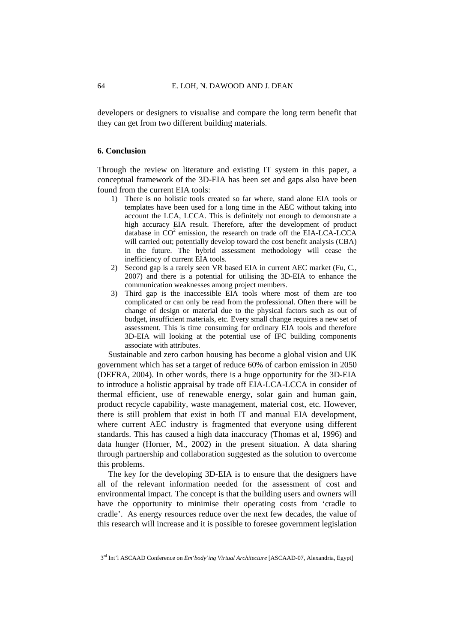developers or designers to visualise and compare the long term benefit that they can get from two different building materials.

### **6. Conclusion**

Through the review on literature and existing IT system in this paper, a conceptual framework of the 3D-EIA has been set and gaps also have been found from the current EIA tools:

- 1) There is no holistic tools created so far where, stand alone EIA tools or templates have been used for a long time in the AEC without taking into account the LCA, LCCA. This is definitely not enough to demonstrate a high accuracy EIA result. Therefore, after the development of product database in  $CO<sup>2</sup>$  emission, the research on trade off the EIA-LCA-LCCA will carried out; potentially develop toward the cost benefit analysis (CBA) in the future. The hybrid assessment methodology will cease the inefficiency of current EIA tools.
- 2) Second gap is a rarely seen VR based EIA in current AEC market (Fu, C., 2007) and there is a potential for utilising the 3D-EIA to enhance the communication weaknesses among project members.
- 3) Third gap is the inaccessible EIA tools where most of them are too complicated or can only be read from the professional. Often there will be change of design or material due to the physical factors such as out of budget, insufficient materials, etc. Every small change requires a new set of assessment. This is time consuming for ordinary EIA tools and therefore 3D-EIA will looking at the potential use of IFC building components associate with attributes.

Sustainable and zero carbon housing has become a global vision and UK government which has set a target of reduce 60% of carbon emission in 2050 (DEFRA, 2004). In other words, there is a huge opportunity for the 3D-EIA to introduce a holistic appraisal by trade off EIA-LCA-LCCA in consider of thermal efficient, use of renewable energy, solar gain and human gain, product recycle capability, waste management, material cost, etc. However, there is still problem that exist in both IT and manual EIA development, where current AEC industry is fragmented that everyone using different standards. This has caused a high data inaccuracy (Thomas et al, 1996) and data hunger (Horner, M., 2002) in the present situation. A data sharing through partnership and collaboration suggested as the solution to overcome this problems.

The key for the developing 3D-EIA is to ensure that the designers have all of the relevant information needed for the assessment of cost and environmental impact. The concept is that the building users and owners will have the opportunity to minimise their operating costs from 'cradle to cradle'. As energy resources reduce over the next few decades, the value of this research will increase and it is possible to foresee government legislation

<sup>3</sup>rd Int'l ASCAAD Conference on *Em'body'ing Virtual Architecture* [ASCAAD-07, Alexandria, Egypt]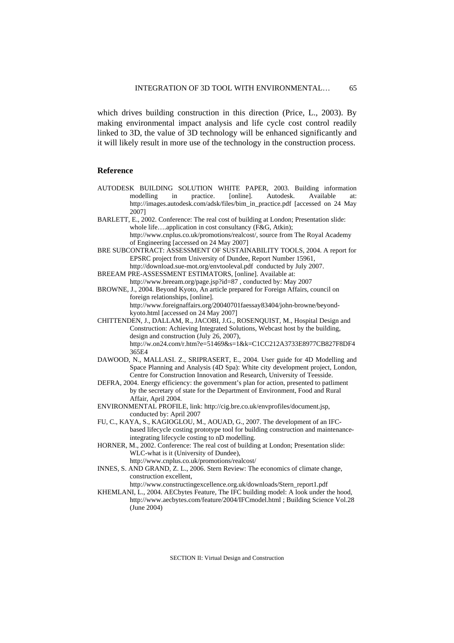which drives building construction in this direction (Price, L., 2003). By making environmental impact analysis and life cycle cost control readily linked to 3D, the value of 3D technology will be enhanced significantly and it will likely result in more use of the technology in the construction process.

#### **Reference**

- AUTODESK BUILDING SOLUTION WHITE PAPER, 2003. Building information modelling in practice. [online]. Autodesk. Available at: http://images.autodesk.com/adsk/files/bim\_in\_practice.pdf [accessed on 24 May 2007]
- BARLETT, E., 2002. Conference: The real cost of building at London; Presentation slide: whole life....application in cost consultancy (F&G, Atkin); http://www.cnplus.co.uk/promotions/realcost/, source from The Royal Academy

of Engineering [accessed on 24 May 2007]

BRE SUBCONTRACT: ASSESSMENT OF SUSTAINABILITY TOOLS, 2004. A report for EPSRC project from University of Dundee, Report Number 15961, http://download.sue-mot.org/envtooleval.pdf conducted by July 2007.

- BREEAM PRE-ASSESSMENT ESTIMATORS, [online]. Available at:
	- http://www.breeam.org/page.jsp?id=87 , conducted by: May 2007

BROWNE, J., 2004. Beyond Kyoto, An article prepared for Foreign Affairs, council on foreign relationships, [online]. http://www.foreignaffairs.org/20040701faessay83404/john-browne/beyond-

kyoto.html [accessed on 24 May 2007] CHITTENDEN, J., DALLAM, R., JACOBI, J.G., ROSENQUIST, M., Hospital Design and Construction: Achieving Integrated Solutions, Webcast host by the building, design and construction (July 26, 2007), http://w.on24.com/r.htm?e=51469&s=1&k=C1CC212A3733E8977CB827F8DF4 365E4

- DAWOOD, N., MALLASI. Z., SRIPRASERT, E., 2004. User guide for 4D Modelling and Space Planning and Analysis (4D Spa): White city development project, London, Centre for Construction Innovation and Research, University of Teesside.
- DEFRA, 2004. Energy efficiency: the government's plan for action, presented to patliment by the secretary of state for the Department of Environment, Food and Rural Affair, April 2004.
- ENVIRONMENTAL PROFILE, link: http://cig.bre.co.uk/envprofiles/document.jsp, conducted by: April 2007
- FU, C., KAYA, S., KAGIOGLOU, M., AOUAD, G., 2007. The development of an IFCbased lifecycle costing prototype tool for building construction and maintenanceintegrating lifecycle costing to nD modelling.

HORNER, M., 2002. Conference: The real cost of building at London; Presentation slide: WLC-what is it (University of Dundee), http://www.cnplus.co.uk/promotions/realcost/

INNES, S. AND GRAND, Z. L., 2006. Stern Review: The economics of climate change, construction excellent,

http://www.constructingexcellence.org.uk/downloads/Stern\_report1.pdf

KHEMLANI, L., 2004. AECbytes Feature, The IFC building model: A look under the hood, http://www.aecbytes.com/feature/2004/IFCmodel.html ; Building Science Vol.28 (June 2004)